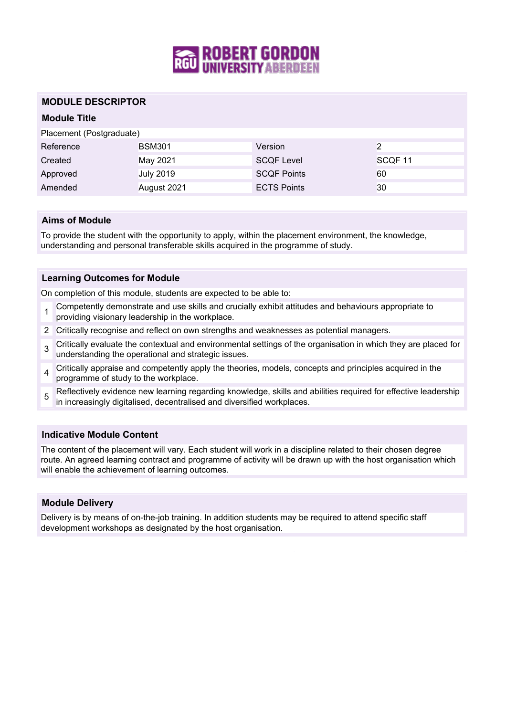

## **MODULE DESCRIPTOR**

# **Module Title**

Placement (Postgraduate)

| Reference | <b>BSM301</b>    | Version            |                    |
|-----------|------------------|--------------------|--------------------|
| Created   | May 2021         | <b>SCQF Level</b>  | SCOF <sub>11</sub> |
| Approved  | <b>July 2019</b> | <b>SCOF Points</b> | 60                 |
| Amended   | August 2021      | <b>ECTS Points</b> | 30                 |

### **Aims of Module**

To provide the student with the opportunity to apply, within the placement environment, the knowledge, understanding and personal transferable skills acquired in the programme of study.

### **Learning Outcomes for Module**

On completion of this module, students are expected to be able to:

- 1 Competently demonstrate and use skills and crucially exhibit attitudes and behaviours appropriate to providing visionary leadership in the workplace.
- 2 Critically recognise and reflect on own strengths and weaknesses as potential managers.
- 3 Critically evaluate the contextual and environmental settings of the organisation in which they are placed for understanding the operational and strategic issues.
- 4 Critically appraise and competently apply the theories, models, concepts and principles acquired in the programme of study to the workplace.
- 5 Reflectively evidence new learning regarding knowledge, skills and abilities required for effective leadership in increasingly digitalised, decentralised and diversified workplaces.

### **Indicative Module Content**

The content of the placement will vary. Each student will work in a discipline related to their chosen degree route. An agreed learning contract and programme of activity will be drawn up with the host organisation which will enable the achievement of learning outcomes.

### **Module Delivery**

Delivery is by means of on-the-job training. In addition students may be required to attend specific staff development workshops as designated by the host organisation.